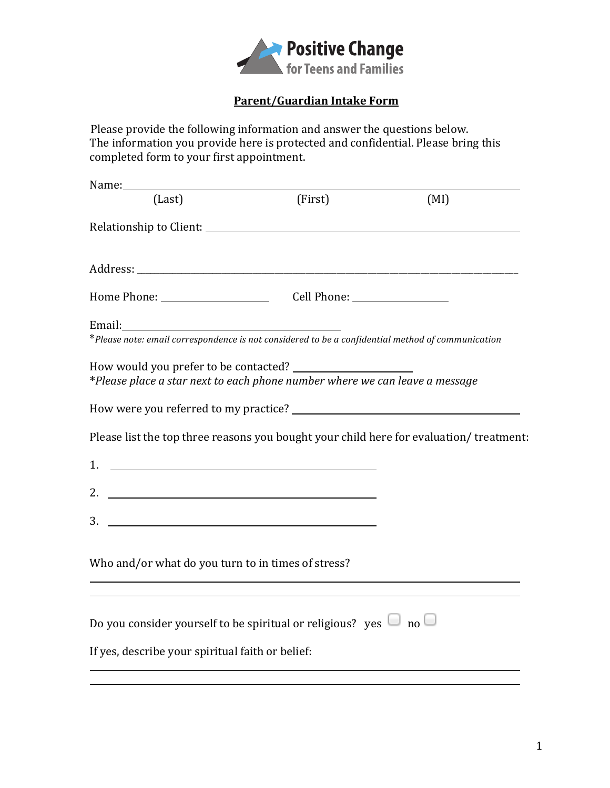

## **Parent/Guardian Intake Form**

Please provide the following information and answer the questions below. The information you provide here is protected and confidential. Please bring this completed form to your first appointment.

| Name:                                                                                                                                                                                                                                                                                                                                                                                                                                                                    |                                                                                                                        |      |
|--------------------------------------------------------------------------------------------------------------------------------------------------------------------------------------------------------------------------------------------------------------------------------------------------------------------------------------------------------------------------------------------------------------------------------------------------------------------------|------------------------------------------------------------------------------------------------------------------------|------|
| (Last)                                                                                                                                                                                                                                                                                                                                                                                                                                                                   | (First)                                                                                                                | (MI) |
|                                                                                                                                                                                                                                                                                                                                                                                                                                                                          |                                                                                                                        |      |
|                                                                                                                                                                                                                                                                                                                                                                                                                                                                          |                                                                                                                        |      |
|                                                                                                                                                                                                                                                                                                                                                                                                                                                                          |                                                                                                                        |      |
|                                                                                                                                                                                                                                                                                                                                                                                                                                                                          |                                                                                                                        |      |
|                                                                                                                                                                                                                                                                                                                                                                                                                                                                          |                                                                                                                        |      |
| *Please note: email correspondence is not considered to be a confidential method of communication                                                                                                                                                                                                                                                                                                                                                                        |                                                                                                                        |      |
| *Please place a star next to each phone number where we can leave a message                                                                                                                                                                                                                                                                                                                                                                                              |                                                                                                                        |      |
|                                                                                                                                                                                                                                                                                                                                                                                                                                                                          |                                                                                                                        |      |
| Please list the top three reasons you bought your child here for evaluation/treatment:                                                                                                                                                                                                                                                                                                                                                                                   |                                                                                                                        |      |
| 1. $\overline{\phantom{a}}$ $\overline{\phantom{a}}$ $\overline{\phantom{a}}$ $\overline{\phantom{a}}$ $\overline{\phantom{a}}$ $\overline{\phantom{a}}$ $\overline{\phantom{a}}$ $\overline{\phantom{a}}$ $\overline{\phantom{a}}$ $\overline{\phantom{a}}$ $\overline{\phantom{a}}$ $\overline{\phantom{a}}$ $\overline{\phantom{a}}$ $\overline{\phantom{a}}$ $\overline{\phantom{a}}$ $\overline{\phantom{a}}$ $\overline{\phantom{a}}$ $\overline{\phantom{a}}$ $\$ |                                                                                                                        |      |
| 2. $\qquad \qquad$                                                                                                                                                                                                                                                                                                                                                                                                                                                       |                                                                                                                        |      |
| $3.$ $\overline{\phantom{a}}$                                                                                                                                                                                                                                                                                                                                                                                                                                            |                                                                                                                        |      |
|                                                                                                                                                                                                                                                                                                                                                                                                                                                                          |                                                                                                                        |      |
| Who and/or what do you turn to in times of stress?                                                                                                                                                                                                                                                                                                                                                                                                                       | <u> 1989 - Johann Stoff, deutscher Stoffen und der Stoffen und der Stoffen und der Stoffen und der Stoffen und der</u> |      |
| ,我们也不会有什么。""我们的人,我们也不会有什么?""我们的人,我们也不会有什么?""我们的人,我们也不会有什么?""我们的人,我们也不会有什么?""我们的人                                                                                                                                                                                                                                                                                                                                                                                         |                                                                                                                        |      |
| Do you consider yourself to be spiritual or religious? yes $\Box$ no $\Box$                                                                                                                                                                                                                                                                                                                                                                                              |                                                                                                                        |      |
| If yes, describe your spiritual faith or belief:                                                                                                                                                                                                                                                                                                                                                                                                                         |                                                                                                                        |      |
|                                                                                                                                                                                                                                                                                                                                                                                                                                                                          | <u> 1989 - Johann Barn, amerikan bernama di sebagai bernama di sebagai bernama di sebagai bernama di sebagai bern</u>  |      |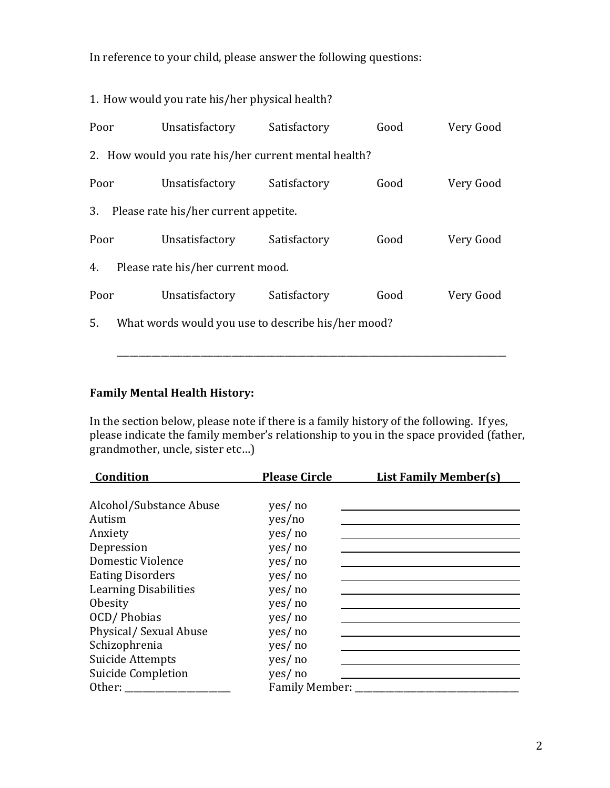In reference to your child, please answer the following questions:

|                                                      | 1. How would you rate his/her physical health?     |              |      |           |  |  |
|------------------------------------------------------|----------------------------------------------------|--------------|------|-----------|--|--|
| Poor                                                 | Unsatisfactory Satisfactory                        |              | Good | Very Good |  |  |
| 2. How would you rate his/her current mental health? |                                                    |              |      |           |  |  |
| Poor                                                 | Unsatisfactory Satisfactory                        |              | Good | Very Good |  |  |
| 3. Please rate his/her current appetite.             |                                                    |              |      |           |  |  |
|                                                      | Poor<br>Unsatisfactory Satisfactory                |              | Good | Very Good |  |  |
| 4. Please rate his/her current mood.                 |                                                    |              |      |           |  |  |
|                                                      | Poor<br>Unsatisfactory                             | Satisfactory | Good | Very Good |  |  |
| 5.                                                   | What words would you use to describe his/her mood? |              |      |           |  |  |

## **Family Mental Health History:**

In the section below, please note if there is a family history of the following. If yes, please indicate the family member's relationship to you in the space provided (father,  $\overline{g}$ randmother, uncle, sister etc...)

| Condition                    | <b>Please Circle</b> | <b>List Family Member(s)</b> |
|------------------------------|----------------------|------------------------------|
|                              |                      |                              |
| Alcohol/Substance Abuse      | yes/ no              |                              |
| Autism                       | yes/no               |                              |
| Anxiety                      | yes/ no              |                              |
| Depression                   | yes/ no              |                              |
| Domestic Violence            | yes/ no              |                              |
| <b>Eating Disorders</b>      | yes/ no              |                              |
| <b>Learning Disabilities</b> | yes/ no              |                              |
| Obesity                      | yes/ no              |                              |
| OCD/Phobias                  | yes/ no              |                              |
| Physical/Sexual Abuse        | yes/ no              |                              |
| Schizophrenia                | yes/ no              |                              |
| Suicide Attempts             | yes/ no              |                              |
| Suicide Completion           | yes/ no              |                              |
| Other: $\frac{1}{2}$         | Family Member: ___   |                              |